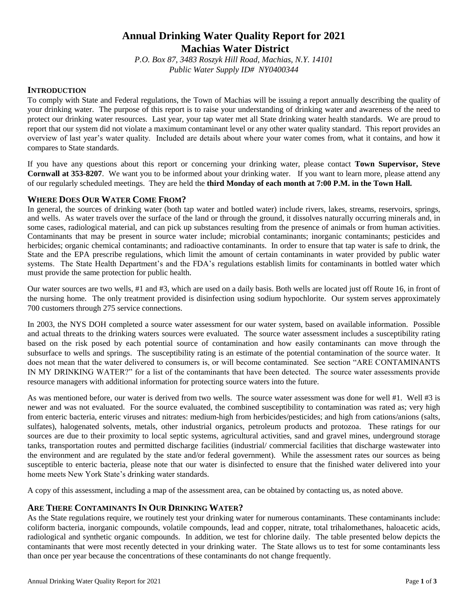# **Annual Drinking Water Quality Report for 2021 Machias Water District**

*P.O. Box 87, 3483 Roszyk Hill Road, Machias, N.Y. 14101 Public Water Supply ID# NY0400344*

## **INTRODUCTION**

To comply with State and Federal regulations, the Town of Machias will be issuing a report annually describing the quality of your drinking water. The purpose of this report is to raise your understanding of drinking water and awareness of the need to protect our drinking water resources. Last year, your tap water met all State drinking water health standards. We are proud to report that our system did not violate a maximum contaminant level or any other water quality standard. This report provides an overview of last year's water quality. Included are details about where your water comes from, what it contains, and how it compares to State standards.

If you have any questions about this report or concerning your drinking water, please contact **Town Supervisor, Steve Cornwall at 353-8207**. We want you to be informed about your drinking water. If you want to learn more, please attend any of our regularly scheduled meetings. They are held the **third Monday of each month at 7:00 P.M. in the Town Hall.**

# **WHERE DOES OUR WATER COME FROM?**

In general, the sources of drinking water (both tap water and bottled water) include rivers, lakes, streams, reservoirs, springs, and wells. As water travels over the surface of the land or through the ground, it dissolves naturally occurring minerals and, in some cases, radiological material, and can pick up substances resulting from the presence of animals or from human activities. Contaminants that may be present in source water include; microbial contaminants; inorganic contaminants; pesticides and herbicides; organic chemical contaminants; and radioactive contaminants. In order to ensure that tap water is safe to drink, the State and the EPA prescribe regulations, which limit the amount of certain contaminants in water provided by public water systems. The State Health Department's and the FDA's regulations establish limits for contaminants in bottled water which must provide the same protection for public health.

Our water sources are two wells, #1 and #3, which are used on a daily basis. Both wells are located just off Route 16, in front of the nursing home. The only treatment provided is disinfection using sodium hypochlorite. Our system serves approximately 700 customers through 275 service connections.

In 2003, the NYS DOH completed a source water assessment for our water system, based on available information. Possible and actual threats to the drinking waters sources were evaluated. The source water assessment includes a susceptibility rating based on the risk posed by each potential source of contamination and how easily contaminants can move through the subsurface to wells and springs. The susceptibility rating is an estimate of the potential contamination of the source water. It does not mean that the water delivered to consumers is, or will become contaminated. See section "ARE CONTAMINANTS IN MY DRINKING WATER?" for a list of the contaminants that have been detected. The source water assessments provide resource managers with additional information for protecting source waters into the future.

As was mentioned before, our water is derived from two wells. The source water assessment was done for well #1. Well #3 is newer and was not evaluated. For the source evaluated, the combined susceptibility to contamination was rated as; very high from enteric bacteria, enteric viruses and nitrates: medium-high from herbicides/pesticides; and high from cations/anions (salts, sulfates), halogenated solvents, metals, other industrial organics, petroleum products and protozoa. These ratings for our sources are due to their proximity to local septic systems, agricultural activities, sand and gravel mines, underground storage tanks, transportation routes and permitted discharge facilities (industrial/ commercial facilities that discharge wastewater into the environment and are regulated by the state and/or federal government). While the assessment rates our sources as being susceptible to enteric bacteria, please note that our water is disinfected to ensure that the finished water delivered into your home meets New York State's drinking water standards.

A copy of this assessment, including a map of the assessment area, can be obtained by contacting us, as noted above.

## **ARE THERE CONTAMINANTS IN OUR DRINKING WATER?**

As the State regulations require, we routinely test your drinking water for numerous contaminants. These contaminants include: coliform bacteria, inorganic compounds, volatile compounds, lead and copper, nitrate, total trihalomethanes, haloacetic acids, radiological and synthetic organic compounds. In addition, we test for chlorine daily. The table presented below depicts the contaminants that were most recently detected in your drinking water. The State allows us to test for some contaminants less than once per year because the concentrations of these contaminants do not change frequently.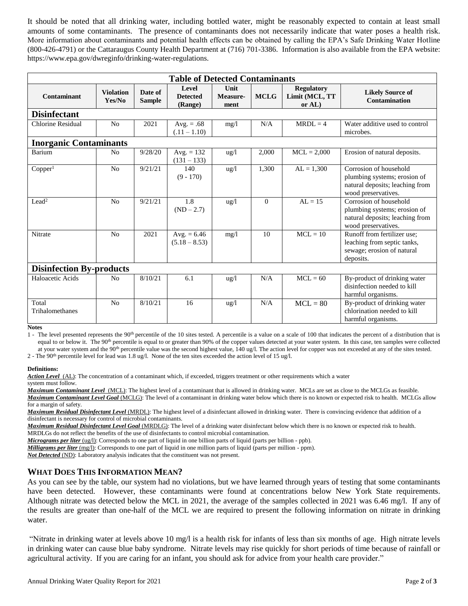It should be noted that all drinking water, including bottled water, might be reasonably expected to contain at least small amounts of some contaminants. The presence of contaminants does not necessarily indicate that water poses a health risk. More information about contaminants and potential health effects can be obtained by calling the EPA's Safe Drinking Water Hotline (800-426-4791) or the Cattaraugus County Health Department at (716) 701-3386. Information is also available from the EPA website: [https://www.epa.gov/dwreginfo/drinking-water-regulations.](https://www.epa.gov/dwreginfo/drinking-water-regulations)

| <b>Table of Detected Contaminants</b> |                            |                          |                                     |                          |             |                                                  |                                                                                                                  |
|---------------------------------------|----------------------------|--------------------------|-------------------------------------|--------------------------|-------------|--------------------------------------------------|------------------------------------------------------------------------------------------------------------------|
| Contaminant                           | <b>Violation</b><br>Yes/No | Date of<br><b>Sample</b> | Level<br><b>Detected</b><br>(Range) | Unit<br>Measure-<br>ment | <b>MCLG</b> | <b>Regulatory</b><br>Limit (MCL, TT<br>or $AL$ ) | <b>Likely Source of</b><br>Contamination                                                                         |
| <b>Disinfectant</b>                   |                            |                          |                                     |                          |             |                                                  |                                                                                                                  |
| <b>Chlorine Residual</b>              | N <sub>o</sub>             | 2021                     | Avg. $= .68$<br>$(.11 - 1.10)$      | mg/1                     | N/A         | $MRDL = 4$                                       | Water additive used to control<br>microbes.                                                                      |
| <b>Inorganic Contaminants</b>         |                            |                          |                                     |                          |             |                                                  |                                                                                                                  |
| Barium                                | N <sub>0</sub>             | 9/28/20                  | Avg. $= 132$<br>$(131 - 133)$       | $\frac{u g}{l}$          | 2,000       | $MCL = 2,000$                                    | Erosion of natural deposits.                                                                                     |
| Copper <sup>1</sup>                   | N <sub>o</sub>             | 9/21/21                  | 140<br>$(9 - 170)$                  | ug/l                     | 1,300       | $AL = 1,300$                                     | Corrosion of household<br>plumbing systems; erosion of<br>natural deposits; leaching from<br>wood preservatives. |
| Lead <sup>2</sup>                     | No                         | 9/21/21                  | 1.8<br>$(ND - 2.7)$                 | $\frac{u g}{l}$          | $\Omega$    | $AI = 15$                                        | Corrosion of household<br>plumbing systems; erosion of<br>natural deposits; leaching from<br>wood preservatives. |
| Nitrate                               | No                         | 2021                     | Avg. $= 6.46$<br>$(5.18 - 8.53)$    | mg/1                     | 10          | $MCL = 10$                                       | Runoff from fertilizer use;<br>leaching from septic tanks,<br>sewage; erosion of natural<br>deposits.            |
| <b>Disinfection By-products</b>       |                            |                          |                                     |                          |             |                                                  |                                                                                                                  |
| Haloacetic Acids                      | No                         | 8/10/21                  | 6.1                                 | $u\alpha/l$              | N/A         | $MCL = 60$                                       | By-product of drinking water<br>disinfection needed to kill<br>harmful organisms.                                |
| Total<br>Trihalomethanes              | No                         | 8/10/21                  | 16                                  | $\frac{u g}{l}$          | N/A         | $MCL = 80$                                       | By-product of drinking water<br>chlorination needed to kill<br>harmful organisms.                                |

**Notes**

1 - The level presented represents the 90<sup>th</sup> percentile of the 10 sites tested. A percentile is a value on a scale of 100 that indicates the percent of a distribution that is equal to or below it. The 90<sup>th</sup> percentile is equal to or greater than 90% of the copper values detected at your water system. In this case, ten samples were collected at your water system and the 90<sup>th</sup> percentile value was the second highest value, 140 ug/l. The action level for copper was not exceeded at any of the sites tested.

2 - The 90th percentile level for lead was 1.8 ug/l. None of the ten sites exceeded the action level of 15 ug/l.

#### **Definitions:**

*Action Level*(AL): The concentration of a contaminant which, if exceeded, triggers treatment or other requirements which a water system must follow.

*Maximum Contaminant Level*(MCL): The highest level of a contaminant that is allowed in drinking water. MCLs are set as close to the MCLGs as feasible. *Maximum Contaminant Level Goal* (MCLG): The level of a contaminant in drinking water below which there is no known or expected risk to health. MCLGs allow for a margin of safety.

*Maximum Residual Disinfectant Level* (MRDL): The highest level of a disinfectant allowed in drinking water. There is convincing evidence that addition of a disinfectant is necessary for control of microbial contaminants.

*Maximum Residual Disinfectant Level Goal* (MRDLG): The level of a drinking water disinfectant below which there is no known or expected risk to health. MRDLGs do not reflect the benefits of the use of disinfectants to control microbial contamination.

*Micrograms per liter* (ug/l): Corresponds to one part of liquid in one billion parts of liquid (parts per billion - ppb).

*Milligrams per liter* (mg/l): Corresponds to one part of liquid in one million parts of liquid (parts per million - ppm).

*Not Detected* (ND): Laboratory analysis indicates that the constituent was not present.

## **WHAT DOES THIS INFORMATION MEAN?**

As you can see by the table, our system had no violations, but we have learned through years of testing that some contaminants have been detected. However, these contaminants were found at concentrations below New York State requirements. Although nitrate was detected below the MCL in 2021, the average of the samples collected in 2021 was 6.46 mg/l. If any of the results are greater than one-half of the MCL we are required to present the following information on nitrate in drinking water.

"Nitrate in drinking water at levels above 10 mg/l is a health risk for infants of less than six months of age. High nitrate levels in drinking water can cause blue baby syndrome. Nitrate levels may rise quickly for short periods of time because of rainfall or agricultural activity. If you are caring for an infant, you should ask for advice from your health care provider."